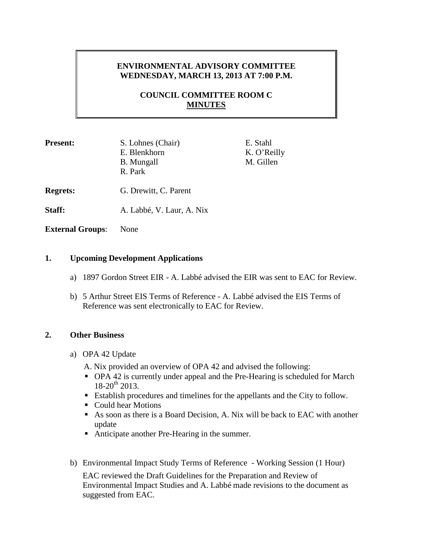# **ENVIRONMENTAL ADVISORY COMMITTEE WEDNESDAY, MARCH 13, 2013 AT 7:00 P.M.**

# **COUNCIL COMMITTEE ROOM C MINUTES**

| <b>Present:</b> | S. Lohnes (Chair)<br>E. Blenkhorn<br><b>B.</b> Mungall<br>R. Park | E. Stahl<br>K. O'Reilly<br>M. Gillen |
|-----------------|-------------------------------------------------------------------|--------------------------------------|
| <b>Regrets:</b> | G. Drewitt, C. Parent                                             |                                      |
| Staff:          | A. Labbé, V. Laur, A. Nix                                         |                                      |

**External Groups**: None

### **1. Upcoming Development Applications**

- a) 1897 Gordon Street EIR A. Labbé advised the EIR was sent to EAC for Review.
- b) 5 Arthur Street EIS Terms of Reference A. Labbé advised the EIS Terms of Reference was sent electronically to EAC for Review.

## **2. Other Business**

- a) OPA 42 Update
	- A. Nix provided an overview of OPA 42 and advised the following:
	- OPA 42 is currently under appeal and the Pre-Hearing is scheduled for March  $18-20^{th}$  2013.
	- Establish procedures and timelines for the appellants and the City to follow.
	- Could hear Motions
	- As soon as there is a Board Decision, A. Nix will be back to EAC with another update
	- Anticipate another Pre-Hearing in the summer.
- b) Environmental Impact Study Terms of Reference Working Session (1 Hour)

EAC reviewed the Draft Guidelines for the Preparation and Review of Environmental Impact Studies and A. Labbé made revisions to the document as suggested from EAC.